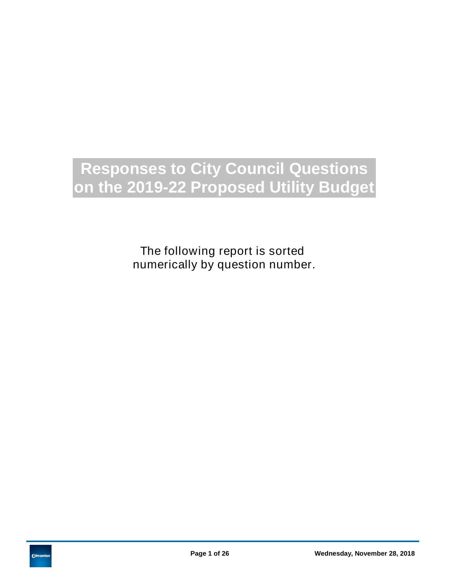# **Responses to City Council Questions on the 2019-22 Proposed Utility Budget**

The following report is sorted numerically by question number.

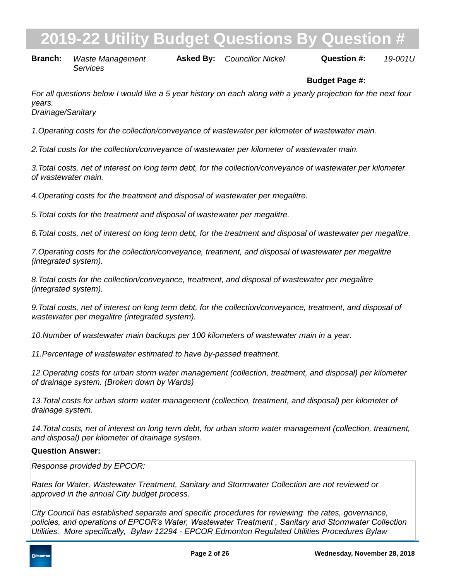**Branch:** Waste Management **Asked By:** Councillor Nickel **Question #:** 19-001U *Services*

# **Budget Page #:**

*For all questions below I would like a 5 year history on each along with a yearly projection for the next four years.*

*Drainage/Sanitary*

*1. Operating costs for the collection/conveyance of wastewater per kilometer of wastewater main.*

2. Total costs for the collection/conveyance of wastewater per kilometer of wastewater main.

*3. Total costs, net of interest on long term debt, for the collection/conveyance of wastewater per kilometer of wastewater main.*

*4. Operating costs for the treatment and disposal of wastewater per megalitre.*

*5. Total costs for the treatment and disposal of wastewater per megalitre.*

*6. Total costs, net of interest on long term debt, for the treatment and disposal of wastewater per megalitre.*

*7. Operating costs for the collection/conveyance, treatment, and disposal of wastewater per megalitre (integrated system).*

*8. Total costs for the collection/conveyance, treatment, and disposal of wastewater per megalitre (integrated system).*

*9. Total costs, net of interest on long term debt, for the collection/conveyance, treatment, and disposal of wastewater per megalitre (integrated system).*

*10. Number of wastewater main backups per 100 kilometers of wastewater main in a year.*

11. Percentage of wastewater estimated to have by-passed treatment.

*12. Operating costs for urban storm water management (collection, treatment, and disposal) per kilometer of drainage system. (Broken down by Wards)*

13. Total costs for urban storm water management (collection, treatment, and disposal) per kilometer of *drainage system.*

14. Total costs, net of interest on long term debt, for urban storm water management (collection, treatment, *and disposal) per kilometer of drainage system.*

### **Question Answer:**

*Response provided by EPCOR:*

*Rates for Water, Wastewater Treatment, Sanitary and Stormwater Collection are not reviewed or approved in the annual City budget process.*

*City Council has established separate and specific procedures for reviewing the rates, governance, policies, and operations of EPCOR's Water, Wastewater Treatment , Sanitary and Stormwater Collection Utilities. More specifically, Bylaw 12294 - EPCOR Edmonton Regulated Utilities Procedures Bylaw* 

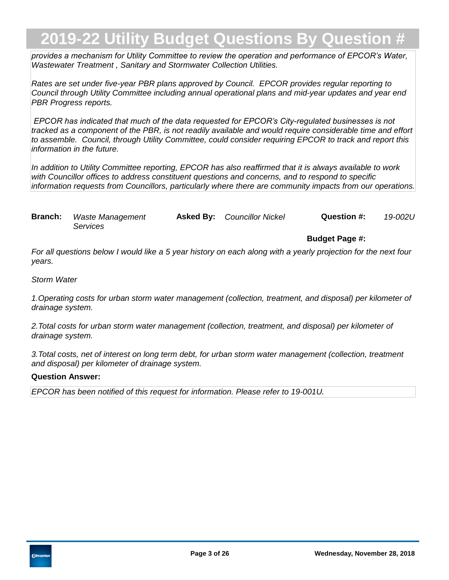*provides a mechanism for Utility Committee to review the operation and performance of EPCOR's Water, Wastewater Treatment , Sanitary and Stormwater Collection Utilities.*

*Rates are set under five-year PBR plans approved by Council. EPCOR provides regular reporting to Council through Utility Committee including annual operational plans and mid-year updates and year end PBR Progress reports.*

 *EPCOR has indicated that much of the data requested for EPCOR's City-regulated businesses is not tracked as a component of the PBR, is not readily available and would require considerable time and effort to assemble. Council, through Utility Committee, could consider requiring EPCOR to track and report this information in the future.*

*In addition to Utility Committee reporting, EPCOR has also reaffirmed that it is always available to work with Councillor offices to address constituent questions and concerns, and to respond to specific information requests from Councillors, particularly where there are community impacts from our operations.*

**Branch:** Waste Management **Asked By:** Councillor Nickel **Question #:** 19-002U *Services*

**Budget Page #:**

*For all questions below I would like a 5 year history on each along with a yearly projection for the next four years.*

*Storm Water*

*1. Operating costs for urban storm water management (collection, treatment, and disposal) per kilometer of drainage system.*

2. Total costs for urban storm water management (collection, treatment, and disposal) per kilometer of *drainage system.*

*3. Total costs, net of interest on long term debt, for urban storm water management (collection, treatment and disposal) per kilometer of drainage system.*

### **Question Answer:**

*EPCOR has been notified of this request for information. Please refer to 19-001U.*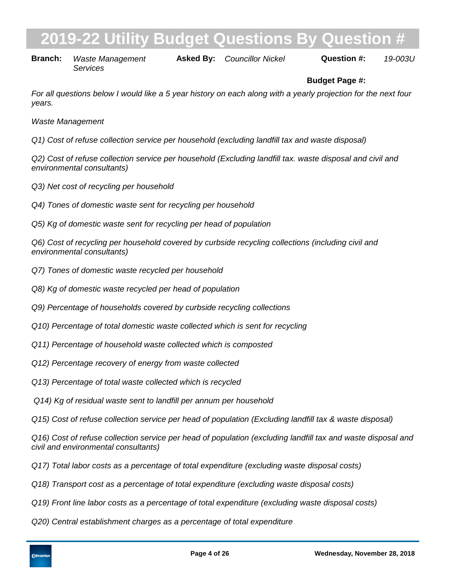# **2019-22 Interpollity Budget Question**

**Branch:** Waste Management *Services*

**Asked By:**

*Councillor Nickel 19-003U*

# **Budget Page #:**

*For all questions below I would like a 5 year history on each along with a yearly projection for the next four years.*

*Waste Management*

*Q1) Cost of refuse collection service per household (excluding landfill tax and waste disposal)*

*Q2) Cost of refuse collection service per household (Excluding landfill tax. waste disposal and civil and environmental consultants)*

- *Q3) Net cost of recycling per household*
- *Q4) Tones of domestic waste sent for recycling per household*
- *Q5) Kg of domestic waste sent for recycling per head of population*

*Q6) Cost of recycling per household covered by curbside recycling collections (including civil and environmental consultants)*

- *Q7) Tones of domestic waste recycled per household*
- *Q8) Kg of domestic waste recycled per head of population*
- *Q9) Percentage of households covered by curbside recycling collections*
- *Q10) Percentage of total domestic waste collected which is sent for recycling*
- *Q11) Percentage of household waste collected which is composted*
- *Q12) Percentage recovery of energy from waste collected*
- *Q13) Percentage of total waste collected which is recycled*
- *Q14) Kg of residual waste sent to landfill per annum per household*
- *Q15) Cost of refuse collection service per head of population (Excluding landfill tax & waste disposal)*

*Q16) Cost of refuse collection service per head of population (excluding landfill tax and waste disposal and civil and environmental consultants)*

- *Q17) Total labor costs as a percentage of total expenditure (excluding waste disposal costs)*
- *Q18) Transport cost as a percentage of total expenditure (excluding waste disposal costs)*
- *Q19) Front line labor costs as a percentage of total expenditure (excluding waste disposal costs)*
- *Q20) Central establishment charges as a percentage of total expenditure*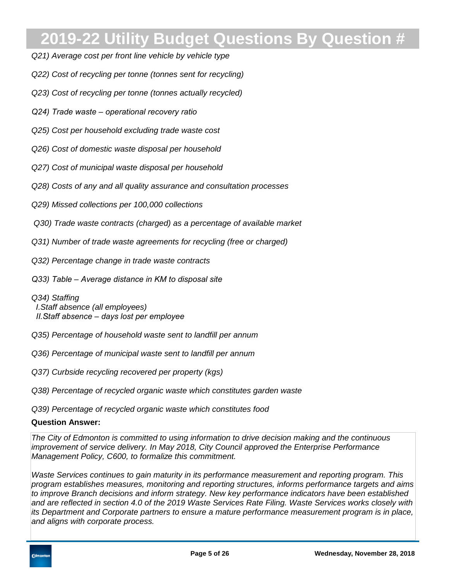- *Q21) Average cost per front line vehicle by vehicle type*
- *Q22) Cost of recycling per tonne (tonnes sent for recycling)*
- *Q23) Cost of recycling per tonne (tonnes actually recycled)*
- *Q24) Trade waste operational recovery ratio*
- *Q25) Cost per household excluding trade waste cost*
- *Q26) Cost of domestic waste disposal per household*
- *Q27) Cost of municipal waste disposal per household*
- *Q28) Costs of any and all quality assurance and consultation processes*
- *Q29) Missed collections per 100,000 collections*
- *Q30) Trade waste contracts (charged) as a percentage of available market*
- *Q31) Number of trade waste agreements for recycling (free or charged)*
- *Q32) Percentage change in trade waste contracts*
- *Q33) Table Average distance in KM to disposal site*
- *Q34) Staffing I. Staff absence (all employees) II. Staff absence – days lost per employee*
- *Q35) Percentage of household waste sent to landfill per annum*
- *Q36) Percentage of municipal waste sent to landfill per annum*
- *Q37) Curbside recycling recovered per property (kgs)*
- *Q38) Percentage of recycled organic waste which constitutes garden waste*
- *Q39) Percentage of recycled organic waste which constitutes food*

#### **Question Answer:**

*The City of Edmonton is committed to using information to drive decision making and the continuous improvement of service delivery. In May 2018, City Council approved the Enterprise Performance Management Policy, C600, to formalize this commitment.* 

*Waste Services continues to gain maturity in its performance measurement and reporting program. This program establishes measures, monitoring and reporting structures, informs performance targets and aims to improve Branch decisions and inform strategy. New key performance indicators have been established and are reflected in section 4.0 of the 2019 Waste Services Rate Filing. Waste Services works closely with its Department and Corporate partners to ensure a mature performance measurement program is in place, and aligns with corporate process.*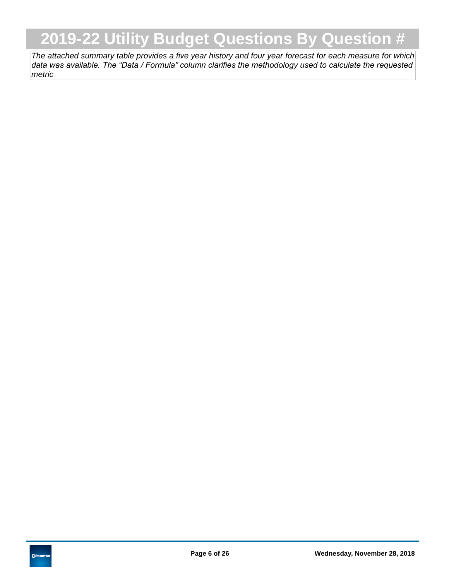*The attached summary table provides a five year history and four year forecast for each measure for which data was available. The "Data / Formula" column clarifies the methodology used to calculate the requested metric*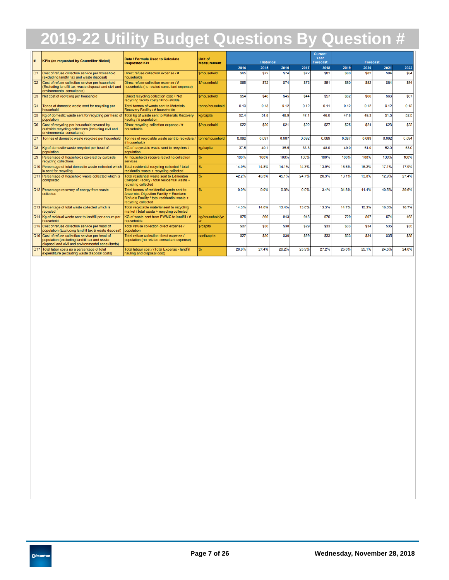| H.                     | Data / Formula Used to Calculate<br><b>KPIs (as requested by Councillor Nickel)</b><br><b>Requested KPI</b>                                            |                                                                                                                                                             | Unit of<br><b>Measurement</b> | <b>Historical</b> |       |             | <b>Current</b><br>Year<br><b>Forecast</b> | <b>Forecast</b> |       |       |             |       |
|------------------------|--------------------------------------------------------------------------------------------------------------------------------------------------------|-------------------------------------------------------------------------------------------------------------------------------------------------------------|-------------------------------|-------------------|-------|-------------|-------------------------------------------|-----------------|-------|-------|-------------|-------|
|                        |                                                                                                                                                        |                                                                                                                                                             |                               | 2014              | 2015  | 2016        | 2017                                      | 2018            | 2019  | 2020  | 2021        | 2022  |
| lo1                    | Cost of refuse collection service per household<br>(excluding landfill tax and waste disposal)                                                         | Direct refuse collection expense / #<br>households                                                                                                          | \$/household                  | \$65              | \$72  | <b>S74</b>  | \$72                                      | <b>S81</b>      | \$80  | \$82  | \$84        | \$84  |
| <b>Q2</b>              | Cost of refuse collection service per household<br>(Excluding landfill tax. waste disposal and civil and<br>environmental consultants)                 | Direct refuse collection expense / #<br>households (no related consultant expense)                                                                          | \$/household                  | <b>\$65</b>       | \$72  | <b>\$74</b> | \$72                                      | <b>S81</b>      | \$80  | \$82  | <b>S84</b>  | \$84  |
| Q <sub>3</sub>         | Net cost of recycling per household                                                                                                                    | (Direct recycling collection cost + Net<br>recycling facility cost) / # housholds                                                                           | \$/household                  | \$54              | \$48  | <b>S45</b>  | \$44                                      | <b>S57</b>      | \$62  | \$66  | <b>S66</b>  | \$67  |
| Q4                     | Tones of domestic waste sent for recycling per<br>household                                                                                            | Total tonnes of waste sent to Materials<br>Recovery Facility / # households                                                                                 | tonne/household               | 0.13              | 0.13  | 0.12        | 0.12                                      | 0.11            | 0.12  | 0.12  | 0.12        | 0.12  |
| $\overline{\text{O5}}$ | Kg of domestic waste sent for recycling per head of<br>population                                                                                      | Total kg of waste sent to Materials Recovery<br>Facility / # population                                                                                     | kg/capita                     | 52.4              | 51.8  | 48.9        | 47.1                                      | 46.0            | 47.8  | 49.3  | 51.5        | 52.5  |
| lo6                    | Cost of recycling per household covered by<br>curbside recycling collections (including civil and<br>environmental consultants)                        | Direct recycling collection expense / #<br>households                                                                                                       | \$/household                  | \$22              | \$20  | <b>\$21</b> | \$22                                      | <b>\$27</b>     | \$25  | \$24  | \$23        | \$22  |
| lo7                    | Tonnes of domestic waste recycled per household                                                                                                        | Tonnes of recyclable waste sent to recyclers /<br># households                                                                                              | tonne/household               | 0.092             | 0.097 | 0.087       | 0.082                                     | 0.069           | 0.087 | 0.089 | 0.092       | 0.094 |
| <b>Q8</b>              | Kg of domestic waste recycled per head of<br>population                                                                                                | KG of recyclable waste sent to recyclers /<br>population                                                                                                    | kg/capita                     | 37.5              | 40.1  | 35.5        | 33.3                                      | 48.0            | 49.0  | 51.0  | 52.0        | 53.0  |
| Q9                     | Percentage of households covered by curbside<br>recycling collections                                                                                  | All households receive recycling collection<br>services                                                                                                     | ж.                            | 100%              | 100%  | 100%        | 100%                                      | 100%            | 100%  | 100%  | 100%        | 100%  |
|                        | Q10 Percentage of total domestic waste collected which<br>is sent for recycling                                                                        | Total residential recycling collected / total<br>residential waste + recycling collected                                                                    | %                             | 14.9%             | 14.8% | 14.1%       | 14.3%                                     | 13.9%           | 15.5% | 16.2% | 17.1%       | 17.9% |
|                        | Q11 Percentage of household waste collected which is<br>composted                                                                                      | Total residential waste sent to Edmonton<br>Compost Facility / total residential waste +<br>recycling collected                                             | ℀                             | 42.2%             | 43.3% | 45.1%       | 24.7%                                     | 26.3%           | 13.1% | 13.0% | 12.9%       | 27.4% |
|                        | Q12 Percentage recovery of energy from waste<br>collected                                                                                              | Total tonnes of residential waste sent to<br>Anaerobic Digestion Facility + Enerkem<br>Biofuels Facility / total residential waste +<br>recycling collected | 吆                             | 0.0%              | 0.0%  | 0.0%        | 0.0%                                      | 3.4%            | 34.8% | 41.4% | 40.5%       | 39.6% |
|                        | 013 Percentage of total waste collected which is<br>recycled                                                                                           | Total recyclable material sent to recycling<br>market / total waste + recycling collected                                                                   | %                             | 14.3%             | 14.0% | 13.4%       | 13.6%                                     | 13.3%           | 14.7% | 15.3% | 16.0%       | 16.7% |
|                        | Q14 Kg of residual waste sent to landfill per annum per<br>household                                                                                   | KG of waste sent from EWMC to landfill / #<br>households                                                                                                    | kg/household/ve               | 875               | 869   | 943         | 946                                       | 976             | 729   | 597   | 574         | 462   |
|                        | Q15 Cost of refuse collection service per head of<br>population (Excluding landfill tax & waste disposal)                                              | Total refuse collection direct expense /<br>population                                                                                                      | \$/capita                     | \$27              | \$30  | <b>\$30</b> | \$29                                      | <b>\$33</b>     | \$33  | \$34  | \$35        | \$35  |
|                        | Q16 Cost of refuse collection service per head of<br>population (excluding landfill tax and waste<br>disposal and civil and environmental consultants) | Total refuse collection direct expense /<br>population (no related consultant expense)                                                                      | cost/capita                   | \$27              | \$30  | <b>\$30</b> | \$29                                      | <b>\$33</b>     | \$33  | \$34  | <b>\$35</b> | \$35  |
|                        | Q17 Total labor costs as a percentage of total<br>expenditure (excluding waste disposal costs)                                                         | Total labour cost / (Total Expense - landfill<br>hauling and disposal cost)                                                                                 | ℀                             | 26.9%             | 27.4% | 29.2%       | 25.9%                                     | 27.2%           | 25.0% | 25.1% | 24.5%       | 24.0% |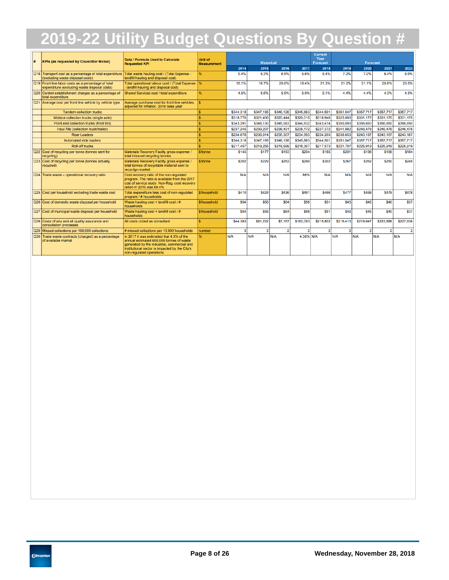| Ħ. | <b>KPIs (as requested by Councillor Nickel)</b>                                                     | Data / Formula Used to Calculate<br><b>Requested KPI</b>                                                                                                                                                           | <b>Unit of</b><br><b>Measurement</b> |              | <b>Historical</b> |                |           | <b>Current</b><br>Year<br><b>Forecast</b> | <b>Forecast</b> |             |                |              |
|----|-----------------------------------------------------------------------------------------------------|--------------------------------------------------------------------------------------------------------------------------------------------------------------------------------------------------------------------|--------------------------------------|--------------|-------------------|----------------|-----------|-------------------------------------------|-----------------|-------------|----------------|--------------|
|    |                                                                                                     |                                                                                                                                                                                                                    |                                      | 2014         | 2015              | 2016           | 2017      | 2018                                      | 2019            | 2020        | 2021           | 2022         |
|    | Q18 Transport cost as a percentage of total expenditure<br>(excluding waste disposal costs)         | Total waste hauling cost / (Total Expense -<br>landfill hauling and disposal cost)                                                                                                                                 |                                      | 5.4%         | 5.3%              | 6.5%           | 5.6%      | 6.4%                                      | 7.0%            | 7.0%        | 6.4%           | 6.0%         |
|    | Q19 Front line labor costs as a percentage of total<br>expenditure (excluding waste disposal costs) | Total operational labour cost / (Total Expense %<br>landfill hauling and disposal cost)                                                                                                                            |                                      | 18.1%        | 18.7%             | 20.0%          | 18.4%     | 21.3%                                     | 21.0%           | 21.1%       | 20.8%          | 20.5%        |
|    | Q20 Central establishment charges as a percentage of<br>total expenditure                           | Shared Services cost / total expenditure                                                                                                                                                                           |                                      | 4.6%         | 5.6%              | 5.5%           | 5.0%      | 5.1%                                      | 4.4%            | 4.4%        | 4.3%           | 4.3%         |
|    | Q21 Average cost per front line vehicle by vehicle type                                             | Average purchase cost for front line vehicles.<br>adiusted for inflation. 2018 base year                                                                                                                           |                                      |              |                   |                |           |                                           |                 |             |                |              |
|    | <b>Tandem collection trucks</b>                                                                     |                                                                                                                                                                                                                    |                                      | \$344,318    | \$347,165         | \$346,126      | \$345,663 | \$344,501                                 | \$351,047       | \$357,717   | \$357,717      | \$357,717    |
|    | Midsize collection trucks (single axle)                                                             |                                                                                                                                                                                                                    |                                      | \$318,770    | \$321,406         | \$320,444      | \$320.015 | \$318,940                                 | \$325.000       | \$331.175   | \$331.175      | \$331.175    |
|    | Front end collection trucks (front bin)                                                             |                                                                                                                                                                                                                    |                                      | \$343.291    | \$346,130         | \$345.093      | \$344,632 | \$343,474                                 | \$350,000       | \$356,650   | \$356,650      | \$356,650    |
|    | Haul Alls (collection truck/trailer)                                                                |                                                                                                                                                                                                                    |                                      | \$237,245    | \$239,207         | \$238,491      | \$238,172 | \$237,372                                 | \$241,882       | \$246,478   | \$246,478      | \$246,478    |
|    | <b>Rear Loaders</b>                                                                                 |                                                                                                                                                                                                                    |                                      | \$234,078    | \$236.014         | \$235,307      | \$234,993 | \$234,203                                 | \$238,653       | \$243.187   | \$243.187      | \$243.187    |
|    | Automated side loaders                                                                              |                                                                                                                                                                                                                    |                                      | \$344,318    | \$347,165         | \$346,126      | \$345,663 | \$344,501                                 | \$351,047       | \$357,717   | \$357,717      | \$357,717    |
|    | <b>Roll-off trucks</b>                                                                              |                                                                                                                                                                                                                    |                                      | \$217,457    | \$219,255         | \$218,599      | \$218,307 | \$217,573                                 | \$221,707       | \$225,919   | \$225,919      | \$225,919    |
|    | Q22 Cost of recycling per tonne (tonnes sent for<br>recycling)                                      | Materials Recovery Facilty gross expense /<br>total inbound recycling tonnes                                                                                                                                       | \$/tonne                             | <b>S145</b>  | \$177             | <b>S183</b>    | \$204     | \$185                                     | \$201           | \$198       | \$188          | <b>\$184</b> |
|    | Q23 Cost of recycling per tonne (tonnes actually<br>recycled)                                       | Materials Recovery Facilty gross expense /<br>total tonnes of recyclable material sent to<br>recyclign market                                                                                                      | \$/tonne                             | <b>S202</b>  | \$229             | <b>\$252</b>   | \$290     | \$302                                     | <b>\$267</b>    | \$262       | \$250          | <b>\$245</b> |
|    | Q24 Trade waste - operational recovery ratio                                                        | Cost recovery ratio of the non-regulated<br>program. The ratio is available from the 2017<br>cost of service study. Non-Reg. cost recovery<br>ration in 2010 was 69.4%                                             |                                      | N/A          | N/A               | N/A            | 86%       | N/A                                       | N/A             | N/A         | N/A            | <b>N/A</b>   |
|    | Q25 Cost per household excluding trade waste cost                                                   | Total expenditure less cost of non-regulated<br>program / # households                                                                                                                                             | \$/household                         | \$410        | \$424             | <b>\$436</b>   | \$491     | \$466                                     | <b>\$477</b>    | \$468       | \$479          | <b>\$478</b> |
|    | Q26 Cost of domestic waste disposal per household                                                   | Waste hauling cost + landfill cost / #<br>households                                                                                                                                                               | \$/household                         | \$54         | \$56              | <b>S64</b>     | \$56      | <b>S51</b>                                | \$45            | <b>\$45</b> | <b>\$40</b>    | \$37         |
|    | Q27 Cost of municipal waste disposal per household                                                  | Waste hauling cost + landfill cost / #<br>households                                                                                                                                                               | <b>S/household</b>                   | \$54         | \$56              | <b>S64</b>     | \$56      | <b>S51</b>                                | \$45            | \$45        | \$40           | \$37         |
|    | Q28 Costs of any and all quality assurance and<br>consultation processes                            | All costs coded as consultant                                                                                                                                                                                      |                                      | \$44,383     | <b>\$81,222</b>   | \$7,167        | \$182,093 | \$215,802                                 | \$216,413       | \$219,647   | \$223,688      | \$227.938    |
|    | Q29 Missed collections per 100,000 collections                                                      | # missed collections per 10,000 households                                                                                                                                                                         | number                               | $\mathbf{3}$ | 2                 | $\overline{2}$ | 2         | 2                                         | $\overline{2}$  | 2           | $\overline{2}$ | 2            |
|    | Q30 Trade waste contracts (charged) as a percentage<br>of available market                          | In 2017 it was estimated that 4.3% of the<br>annual estimated 600,000 tonnes of waste<br>generated by the industrial, commercial and<br>institutional sector is impacted by the City's<br>non-regulated operations |                                      | N/A          | N/A               | N/A            | 4.30% N/A |                                           | N/A             | N/A         | N/A            | N/A          |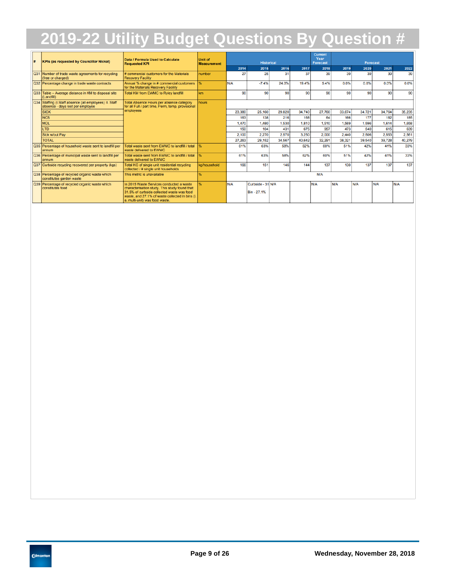| l#         | <b>KPIs (as requested by Councillor Nickel)</b>                                             | Data / Formula Used to Calculate<br><b>Requested KPI</b>                                                                                                                                                                     | <b>Unit of</b><br><b>Measurement</b> |        | <b>Historical</b>                |        |                 | <b>Current</b><br>Year<br><b>Forecast</b> |        | <b>Forecast</b> |        |        |  |
|------------|---------------------------------------------------------------------------------------------|------------------------------------------------------------------------------------------------------------------------------------------------------------------------------------------------------------------------------|--------------------------------------|--------|----------------------------------|--------|-----------------|-------------------------------------------|--------|-----------------|--------|--------|--|
|            |                                                                                             |                                                                                                                                                                                                                              |                                      | 2014   | 2015                             | 2016   | 2017            | 2018                                      | 2019   | 2020            | 2021   | 2022   |  |
| <b>Q31</b> | Number of trade waste agreements for recycling<br>(free or charged)                         | # commercial customers for the Materials<br><b>Recovery Facility</b>                                                                                                                                                         | number                               | 27     | 25                               | 31     | 37              | 39                                        | 39     | 39              | 39     | 39     |  |
|            | Q32 Percentage change in trade waste contracts                                              | Annual % change in # commercial customers<br>for the Materials Recovery Facility                                                                                                                                             | ₩                                    | N/A    | $-7.4%$                          | 24.0%  | 19.4%           | 5.4%                                      | 0.0%   | 0.0%            | 0.0%   | 0.0%   |  |
|            | Q33 Table - Average distance in KM to disposal site<br>(Landfill)                           | <b>Total KM from EWMC to Ryley landfill</b>                                                                                                                                                                                  | km                                   | 90     | 90                               | 90     | 90 <sub>1</sub> | 90                                        | 90     | 90              | 90     | 90     |  |
|            | Q34 Staffing (I.Staff absence (all employees) II. Staff<br>absence - days lost per employee | Total Absence Hours per absence category<br>for all Full / part time, Perm, temp, provisional                                                                                                                                | hours                                |        |                                  |        |                 |                                           |        |                 |        |        |  |
|            | <b>SICK</b>                                                                                 | employees                                                                                                                                                                                                                    |                                      | 23,380 | 25,160                           | 29,820 | 34,740          | 27,760                                    | 33,674 | 34,721          | 34,764 | 35,235 |  |
|            | <b>NCS</b>                                                                                  |                                                                                                                                                                                                                              |                                      | 163    | 138                              | 216    | 168             | 64                                        | 166    | 177             | 182    | 185    |  |
|            | <b>MDL</b>                                                                                  |                                                                                                                                                                                                                              |                                      | 1,470  | 1,480                            | 1,530  | 1,810           | 1,510                                     | 1,569  | 1.596           | 1,614  | 1,658  |  |
|            | <b>LTD</b>                                                                                  |                                                                                                                                                                                                                              |                                      | 150    | 104                              | 431    | 675             | 957                                       | 473    | 540             | 615    | 639    |  |
|            | Sick w/out Pay                                                                              |                                                                                                                                                                                                                              |                                      | 2.100  | 2.270                            | 2.570  | 3.250           | 2.000                                     | 2.440  | 2.506           | 2.553  | 2,561  |  |
|            | <b>TOTAL</b>                                                                                |                                                                                                                                                                                                                              |                                      | 27,263 | 29,152                           | 34,567 | 40,642          | 32.291                                    | 38,321 | 39,540          | 39.728 | 40,279 |  |
|            | Q35 Percentage of household waste sent to landfill per<br>annum                             | Total waste sent from EWMC to landfill / total<br>waste delivered to EWMC                                                                                                                                                    |                                      | 61%    | 63%                              | 58%    | 62%             | 60%                                       | 51%    | 42%             | 41%    | 33%    |  |
|            | Q36 Percentage of municipal waste sent to landfill per<br>annum                             | Total waste sent from EWMC to landfill / total<br>waste delivered to EWMC                                                                                                                                                    |                                      | 61%    | 63%                              | 58%    | 62%             | 60%                                       | 51%    | 42%             | 41%    | 33%    |  |
|            | Q37 Curbside recycling recovered per property (kgs)                                         | Total KG of single unit residential recycling<br>collected / # single unit households                                                                                                                                        | ka/household                         | 166    | 151                              | 146    | 144             | 137                                       | 130    | 137             | 137    | 137    |  |
|            | Q38 Percentage of recycled organic waste which<br>constitutes garden waste                  | This metric is unavailable                                                                                                                                                                                                   |                                      | N/A    |                                  |        |                 |                                           |        |                 |        |        |  |
|            | Q39 Percentage of recycled organic waste which<br>constitutes food                          | In 2015 Waste Services conducted a waste<br>characterisation study. This study found that<br>31.5% of curbside collected waste was food<br>waste, and 27.1% of waste collected in bins (i.<br>e. multi-unit) was food waste. |                                      | N/A    | Curbside - 31 N/A<br>Bin - 27.1% |        |                 | N/A                                       | N/A    | N/A             | N/A    | N/A    |  |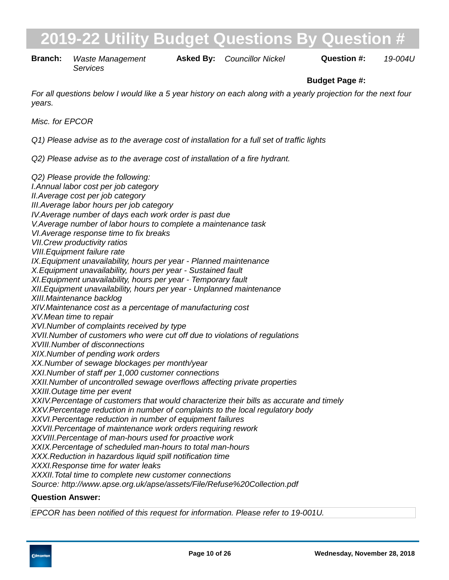**Branch:** Waste Management **Asked By:** Councillor Nickel **Question #:** 19-004U *Services*

# **Budget Page #:**

*For all questions below I would like a 5 year history on each along with a yearly projection for the next four years.*

*Misc. for EPCOR*

*Q1) Please advise as to the average cost of installation for a full set of traffic lights*

*Q2) Please advise as to the average cost of installation of a fire hydrant.*

*Q2) Please provide the following: I. Annual labor cost per job category II. Average cost per job category III. Average labor hours per job category IV. Average number of days each work order is past due V. Average number of labor hours to complete a maintenance task VI. Average response time to fix breaks VII. Crew productivity ratios VIII. Equipment failure rate* IX. Equipment unavailability, hours per year - Planned maintenance *X. Equipment unavailability, hours per year - Sustained fault XI. Equipment unavailability, hours per year - Temporary fault XII. Equipment unavailability, hours per year - Unplanned maintenance XIII. Maintenance backlog XIV. Maintenance cost as a percentage of manufacturing cost XV. Mean time to repair XVI. Number of complaints received by type XVII. Number of customers who were cut off due to violations of regulations XVIII. Number of disconnections XIX. Number of pending work orders XX. Number of sewage blockages per month/year XXI. Number of staff per 1,000 customer connections XXII. Number of uncontrolled sewage overflows affecting private properties XXIII. Outage time per event XXIV. Percentage of customers that would characterize their bills as accurate and timely XXV. Percentage reduction in number of complaints to the local regulatory body XXVI. Percentage reduction in number of equipment failures XXVII. Percentage of maintenance work orders requiring rework XXVIII. Percentage of man-hours used for proactive work XXIX. Percentage of scheduled man-hours to total man-hours XXX. Reduction in hazardous liquid spill notification time XXXI. Response time for water leaks XXXII. Total time to complete new customer connections Source: http://www.apse.org.uk/apse/assets/File/Refuse%20Collection.pdf*

#### **Question Answer:**

*EPCOR has been notified of this request for information. Please refer to 19-001U.*

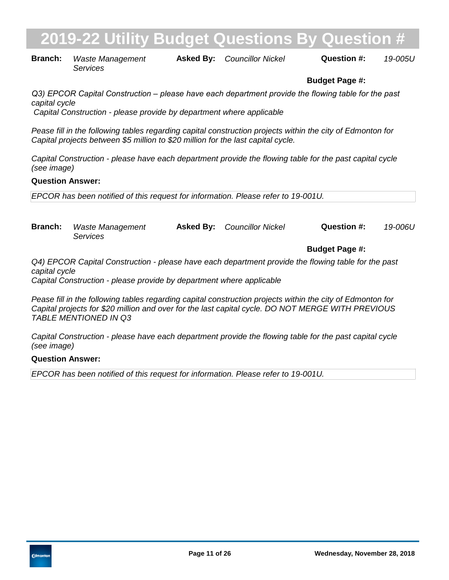| <b>Branch:</b> Waste Management | <b>Asked By:</b> Councillor Nickel | Question #: | 19-005U |
|---------------------------------|------------------------------------|-------------|---------|
| Services                        |                                    |             |         |

### **Budget Page #:**

*Q3) EPCOR Capital Construction – please have each department provide the flowing table for the past capital cycle Capital Construction - please provide by department where applicable*

*Pease fill in the following tables regarding capital construction projects within the city of Edmonton for Capital projects between \$5 million to \$20 million for the last capital cycle.*

*Capital Construction - please have each department provide the flowing table for the past capital cycle (see image)*

#### **Question Answer:**

*EPCOR has been notified of this request for information. Please refer to 19-001U.*

**Branch:** Waste Management **Asked By:** Councillor Nickel **Question #:** 19-006U *Services*

**Budget Page #:**

*Q4) EPCOR Capital Construction - please have each department provide the flowing table for the past capital cycle*

*Capital Construction - please provide by department where applicable*

*Pease fill in the following tables regarding capital construction projects within the city of Edmonton for Capital projects for \$20 million and over for the last capital cycle. DO NOT MERGE WITH PREVIOUS TABLE MENTIONED IN Q3* 

*Capital Construction - please have each department provide the flowing table for the past capital cycle (see image)*

#### **Question Answer:**

*EPCOR has been notified of this request for information. Please refer to 19-001U.*

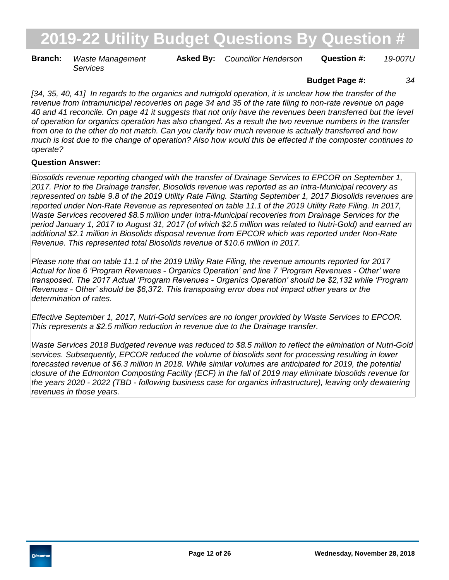**Branch:** Waste Management **Asked By:** Councillor Henderson **Question #:** 19-007U *Services*

### **Budget Page #:** *34*

*[34, 35, 40, 41] In regards to the organics and nutrigold operation, it is unclear how the transfer of the revenue from Intramunicipal recoveries on page 34 and 35 of the rate filing to non-rate revenue on page 40 and 41 reconcile. On page 41 it suggests that not only have the revenues been transferred but the level of operation for organics operation has also changed. As a result the two revenue numbers in the transfer from one to the other do not match. Can you clarify how much revenue is actually transferred and how much is lost due to the change of operation? Also how would this be effected if the composter continues to operate?*

### **Question Answer:**

*Biosolids revenue reporting changed with the transfer of Drainage Services to EPCOR on September 1, 2017. Prior to the Drainage transfer, Biosolids revenue was reported as an Intra-Municipal recovery as represented on table 9.8 of the 2019 Utility Rate Filing. Starting September 1, 2017 Biosolids revenues are reported under Non-Rate Revenue as represented on table 11.1 of the 2019 Utility Rate Filing. In 2017, Waste Services recovered \$8.5 million under Intra-Municipal recoveries from Drainage Services for the period January 1, 2017 to August 31, 2017 (of which \$2.5 million was related to Nutri-Gold) and earned an additional \$2.1 million in Biosolids disposal revenue from EPCOR which was reported under Non-Rate Revenue. This represented total Biosolids revenue of \$10.6 million in 2017.*

*Please note that on table 11.1 of the 2019 Utility Rate Filing, the revenue amounts reported for 2017 Actual for line 6 'Program Revenues - Organics Operation' and line 7 'Program Revenues - Other' were transposed. The 2017 Actual 'Program Revenues - Organics Operation' should be \$2,132 while 'Program Revenues - Other' should be \$6,372. This transposing error does not impact other years or the determination of rates.*

*Effective September 1, 2017, Nutri-Gold services are no longer provided by Waste Services to EPCOR. This represents a \$2.5 million reduction in revenue due to the Drainage transfer.*

*Waste Services 2018 Budgeted revenue was reduced to \$8.5 million to reflect the elimination of Nutri-Gold services. Subsequently, EPCOR reduced the volume of biosolids sent for processing resulting in lower forecasted revenue of \$6.3 million in 2018. While similar volumes are anticipated for 2019, the potential closure of the Edmonton Composting Facility (ECF) in the fall of 2019 may eliminate biosolids revenue for the years 2020 - 2022 (TBD - following business case for organics infrastructure), leaving only dewatering revenues in those years.*

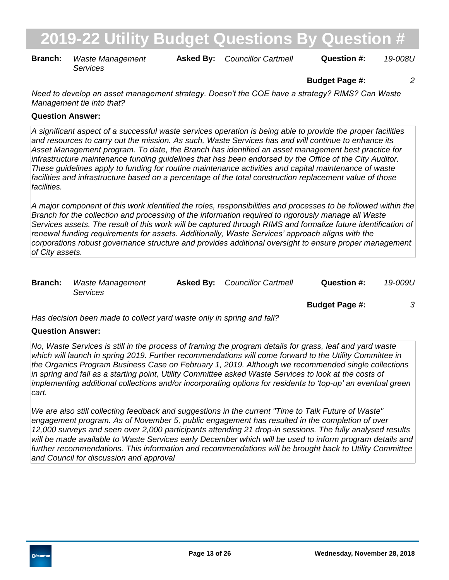**Branch:** Waste Management **Asked By:** Councillor Cartmell **Question #:** 19-008U *Services*

**Budget Page #:** *2*

*Need to develop an asset management strategy. Doesn't the COE have a strategy? RIMS? Can Waste Management tie into that?*

### **Question Answer:**

*A significant aspect of a successful waste services operation is being able to provide the proper facilities and resources to carry out the mission. As such, Waste Services has and will continue to enhance its Asset Management program. To date, the Branch has identified an asset management best practice for infrastructure maintenance funding guidelines that has been endorsed by the Office of the City Auditor. These guidelines apply to funding for routine maintenance activities and capital maintenance of waste facilities and infrastructure based on a percentage of the total construction replacement value of those facilities.* 

*A major component of this work identified the roles, responsibilities and processes to be followed within the Branch for the collection and processing of the information required to rigorously manage all Waste Services assets. The result of this work will be captured through RIMS and formalize future identification of renewal funding requirements for assets. Additionally, Waste Services' approach aligns with the corporations robust governance structure and provides additional oversight to ensure proper management of City assets.*

| <b>Branch:</b> Waste Management | <b>Asked By:</b> Councillor Cartmell | Question #: | 19-009U |
|---------------------------------|--------------------------------------|-------------|---------|
| Services                        |                                      |             |         |

**Budget Page #:** *3*

*Has decision been made to collect yard waste only in spring and fall?*

#### **Question Answer:**

*No, Waste Services is still in the process of framing the program details for grass, leaf and yard waste which will launch in spring 2019. Further recommendations will come forward to the Utility Committee in the Organics Program Business Case on February 1, 2019. Although we recommended single collections in spring and fall as a starting point, Utility Committee asked Waste Services to look at the costs of implementing additional collections and/or incorporating options for residents to 'top-up' an eventual green cart.* 

*We are also still collecting feedback and suggestions in the current "Time to Talk Future of Waste" engagement program. As of November 5, public engagement has resulted in the completion of over 12,000 surveys and seen over 2,000 participants attending 21 drop-in sessions. The fully analysed results*  will be made available to Waste Services early December which will be used to inform program details and *further recommendations. This information and recommendations will be brought back to Utility Committee and Council for discussion and approval*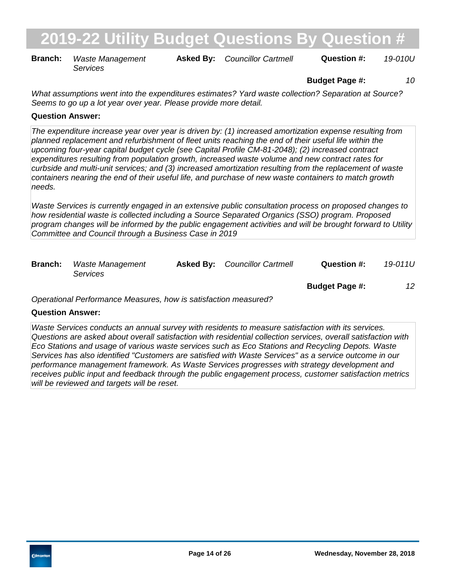**Branch:** Waste Management **Asked By:** Councillor Cartmell **Question #:** 19-010U *Services*

**Budget Page #:** *10*

*What assumptions went into the expenditures estimates? Yard waste collection? Separation at Source? Seems to go up a lot year over year. Please provide more detail.*

### **Question Answer:**

*The expenditure increase year over year is driven by: (1) increased amortization expense resulting from planned replacement and refurbishment of fleet units reaching the end of their useful life within the upcoming four-year capital budget cycle (see Capital Profile CM-81-2048); (2) increased contract expenditures resulting from population growth, increased waste volume and new contract rates for curbside and multi-unit services; and (3) increased amortization resulting from the replacement of waste containers nearing the end of their useful life, and purchase of new waste containers to match growth needs.*

*Waste Services is currently engaged in an extensive public consultation process on proposed changes to how residential waste is collected including a Source Separated Organics (SSO) program. Proposed program changes will be informed by the public engagement activities and will be brought forward to Utility Committee and Council through a Business Case in 2019*

| <b>Branch:</b> | Waste Management<br>Services | <b>Asked By:</b> Councillor Cartmell | Question #:           | 19-011U |
|----------------|------------------------------|--------------------------------------|-----------------------|---------|
|                |                              |                                      | <b>Budget Page #:</b> | 12      |

*Operational Performance Measures, how is satisfaction measured?*

#### **Question Answer:**

*Waste Services conducts an annual survey with residents to measure satisfaction with its services. Questions are asked about overall satisfaction with residential collection services, overall satisfaction with Eco Stations and usage of various waste services such as Eco Stations and Recycling Depots. Waste Services has also identified "Customers are satisfied with Waste Services" as a service outcome in our performance management framework. As Waste Services progresses with strategy development and receives public input and feedback through the public engagement process, customer satisfaction metrics will be reviewed and targets will be reset.*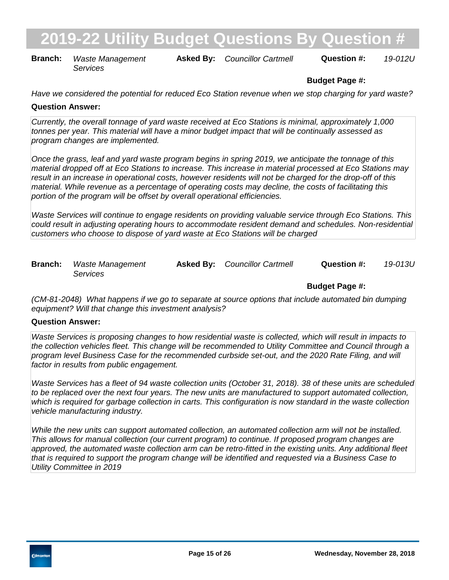**Branch:** Waste Management **Asked By:** Councillor Cartmell **Question #:** 19-012U *Services*

# **Budget Page #:**

*Have we considered the potential for reduced Eco Station revenue when we stop charging for yard waste?*

### **Question Answer:**

*Currently, the overall tonnage of yard waste received at Eco Stations is minimal, approximately 1,000 tonnes per year. This material will have a minor budget impact that will be continually assessed as program changes are implemented.*

*Once the grass, leaf and yard waste program begins in spring 2019, we anticipate the tonnage of this material dropped off at Eco Stations to increase. This increase in material processed at Eco Stations may result in an increase in operational costs, however residents will not be charged for the drop-off of this material. While revenue as a percentage of operating costs may decline, the costs of facilitating this portion of the program will be offset by overall operational efficiencies.* 

*Waste Services will continue to engage residents on providing valuable service through Eco Stations. This could result in adjusting operating hours to accommodate resident demand and schedules. Non-residential customers who choose to dispose of yard waste at Eco Stations will be charged*

| <b>Branch:</b> Waste Management | <b>Asked By:</b> Councillor Cartmell | Question #: | 19-013U |
|---------------------------------|--------------------------------------|-------------|---------|
| <i>Services</i>                 |                                      |             |         |

## **Budget Page #:**

*(CM-81-2048) What happens if we go to separate at source options that include automated bin dumping equipment? Will that change this investment analysis?*

#### **Question Answer:**

*Waste Services is proposing changes to how residential waste is collected, which will result in impacts to the collection vehicles fleet. This change will be recommended to Utility Committee and Council through a program level Business Case for the recommended curbside set-out, and the 2020 Rate Filing, and will factor in results from public engagement.* 

*Waste Services has a fleet of 94 waste collection units (October 31, 2018). 38 of these units are scheduled to be replaced over the next four years. The new units are manufactured to support automated collection, which is required for garbage collection in carts. This configuration is now standard in the waste collection vehicle manufacturing industry.* 

*While the new units can support automated collection, an automated collection arm will not be installed. This allows for manual collection (our current program) to continue. If proposed program changes are approved, the automated waste collection arm can be retro-fitted in the existing units. Any additional fleet that is required to support the program change will be identified and requested via a Business Case to Utility Committee in 2019*

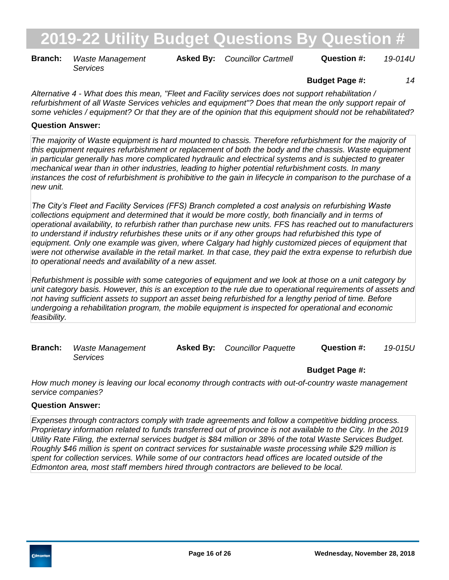**Branch:** Waste Management **Asked By:** Councillor Cartmell **Question #:** 19-014U *Services*

## **Budget Page #:** *14*

*Alternative 4 - What does this mean, "Fleet and Facility services does not support rehabilitation / refurbishment of all Waste Services vehicles and equipment"? Does that mean the only support repair of some vehicles / equipment? Or that they are of the opinion that this equipment should not be rehabilitated?*

### **Question Answer:**

*The majority of Waste equipment is hard mounted to chassis. Therefore refurbishment for the majority of this equipment requires refurbishment or replacement of both the body and the chassis. Waste equipment in particular generally has more complicated hydraulic and electrical systems and is subjected to greater mechanical wear than in other industries, leading to higher potential refurbishment costs. In many instances the cost of refurbishment is prohibitive to the gain in lifecycle in comparison to the purchase of a new unit.* 

*The City's Fleet and Facility Services (FFS) Branch completed a cost analysis on refurbishing Waste collections equipment and determined that it would be more costly, both financially and in terms of operational availability, to refurbish rather than purchase new units. FFS has reached out to manufacturers to understand if industry refurbishes these units or if any other groups had refurbished this type of equipment. Only one example was given, where Calgary had highly customized pieces of equipment that were not otherwise available in the retail market. In that case, they paid the extra expense to refurbish due to operational needs and availability of a new asset.*

*Refurbishment is possible with some categories of equipment and we look at those on a unit category by unit category basis. However, this is an exception to the rule due to operational requirements of assets and not having sufficient assets to support an asset being refurbished for a lengthy period of time. Before undergoing a rehabilitation program, the mobile equipment is inspected for operational and economic feasibility.*

| <b>Branch:</b> Waste Management | <b>Asked By:</b> Councillor Paquette | Question #: | 19-015U |
|---------------------------------|--------------------------------------|-------------|---------|
| Services                        |                                      |             |         |

#### **Budget Page #:**

*How much money is leaving our local economy through contracts with out-of-country waste management service companies?*

#### **Question Answer:**

*Expenses through contractors comply with trade agreements and follow a competitive bidding process. Proprietary information related to funds transferred out of province is not available to the City. In the 2019 Utility Rate Filing, the external services budget is \$84 million or 38% of the total Waste Services Budget. Roughly \$46 million is spent on contract services for sustainable waste processing while \$29 million is spent for collection services. While some of our contractors head offices are located outside of the Edmonton area, most staff members hired through contractors are believed to be local.*

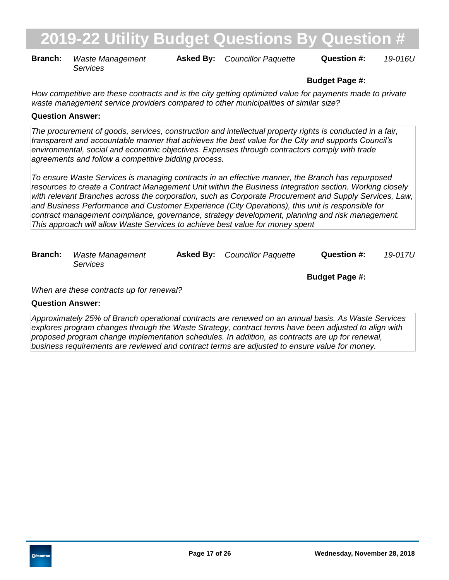**Branch:** Waste Management **Asked By:** Councillor Paquette **Question #:** 19-016U *Services*

# **Budget Page #:**

*How competitive are these contracts and is the city getting optimized value for payments made to private waste management service providers compared to other municipalities of similar size?*

### **Question Answer:**

*The procurement of goods, services, construction and intellectual property rights is conducted in a fair, transparent and accountable manner that achieves the best value for the City and supports Council's environmental, social and economic objectives. Expenses through contractors comply with trade agreements and follow a competitive bidding process.* 

*To ensure Waste Services is managing contracts in an effective manner, the Branch has repurposed resources to create a Contract Management Unit within the Business Integration section. Working closely with relevant Branches across the corporation, such as Corporate Procurement and Supply Services, Law, and Business Performance and Customer Experience (City Operations), this unit is responsible for contract management compliance, governance, strategy development, planning and risk management. This approach will allow Waste Services to achieve best value for money spent*

| <b>Branch:</b> Waste Management | <b>Asked By:</b> Councillor Paquette | <b>Question #:</b> | 19-017U |
|---------------------------------|--------------------------------------|--------------------|---------|
| <i>Services</i>                 |                                      |                    |         |

*When are these contracts up for renewal?*

**Budget Page #:**

## **Question Answer:**

*Approximately 25% of Branch operational contracts are renewed on an annual basis. As Waste Services explores program changes through the Waste Strategy, contract terms have been adjusted to align with proposed program change implementation schedules. In addition, as contracts are up for renewal, business requirements are reviewed and contract terms are adjusted to ensure value for money.*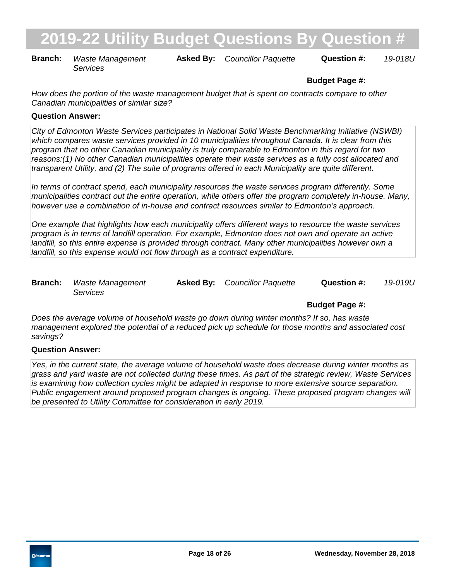**Branch:** Waste Management **Asked By:** Councillor Paquette **Question #:** 19-018U *Services*

# **Budget Page #:**

*How does the portion of the waste management budget that is spent on contracts compare to other Canadian municipalities of similar size?*

### **Question Answer:**

*City of Edmonton Waste Services participates in National Solid Waste Benchmarking Initiative (NSWBI) which compares waste services provided in 10 municipalities throughout Canada. It is clear from this program that no other Canadian municipality is truly comparable to Edmonton in this regard for two reasons:(1) No other Canadian municipalities operate their waste services as a fully cost allocated and transparent Utility, and (2) The suite of programs offered in each Municipality are quite different.* 

*In terms of contract spend, each municipality resources the waste services program differently. Some municipalities contract out the entire operation, while others offer the program completely in-house. Many, however use a combination of in-house and contract resources similar to Edmonton's approach.* 

*One example that highlights how each municipality offers different ways to resource the waste services program is in terms of landfill operation. For example, Edmonton does not own and operate an active landfill, so this entire expense is provided through contract. Many other municipalities however own a landfill, so this expense would not flow through as a contract expenditure.*

| <b>Branch:</b> Waste Management | <b>Asked By:</b> Councillor Paquette | Question #: | 19-019U |
|---------------------------------|--------------------------------------|-------------|---------|
| <i>Services</i>                 |                                      |             |         |

## **Budget Page #:**

*Does the average volume of household waste go down during winter months? If so, has waste management explored the potential of a reduced pick up schedule for those months and associated cost savings?*

### **Question Answer:**

*Yes, in the current state, the average volume of household waste does decrease during winter months as grass and yard waste are not collected during these times. As part of the strategic review, Waste Services is examining how collection cycles might be adapted in response to more extensive source separation. Public engagement around proposed program changes is ongoing. These proposed program changes will be presented to Utility Committee for consideration in early 2019.*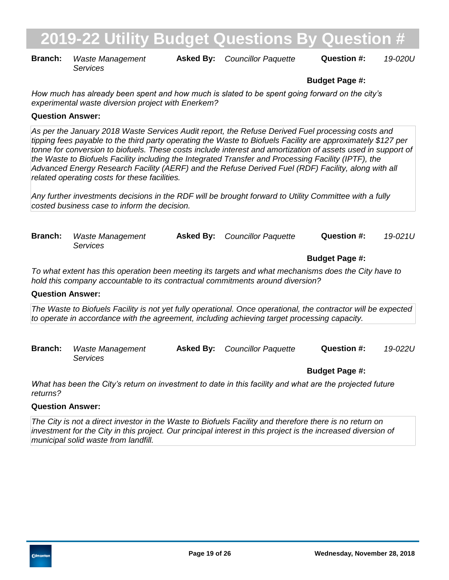**Branch:** Waste Management **Asked By:** Councillor Paquette **Question #:** 19-020U *Services*

**Budget Page #:**

*How much has already been spent and how much is slated to be spent going forward on the city's experimental waste diversion project with Enerkem?*

### **Question Answer:**

*As per the January 2018 Waste Services Audit report, the Refuse Derived Fuel processing costs and tipping fees payable to the third party operating the Waste to Biofuels Facility are approximately \$127 per tonne for conversion to biofuels. These costs include interest and amortization of assets used in support of the Waste to Biofuels Facility including the Integrated Transfer and Processing Facility (IPTF), the Advanced Energy Research Facility (AERF) and the Refuse Derived Fuel (RDF) Facility, along with all related operating costs for these facilities.* 

*Any further investments decisions in the RDF will be brought forward to Utility Committee with a fully costed business case to inform the decision.*

| <b>Branch:</b> Waste Management | <b>Asked By:</b> Councillor Paquette | Question #: | 19-021U |
|---------------------------------|--------------------------------------|-------------|---------|
| Services                        |                                      |             |         |

## **Budget Page #:**

*To what extent has this operation been meeting its targets and what mechanisms does the City have to hold this company accountable to its contractual commitments around diversion?*

#### **Question Answer:**

*The Waste to Biofuels Facility is not yet fully operational. Once operational, the contractor will be expected to operate in accordance with the agreement, including achieving target processing capacity.*

| <b>Branch:</b> | Waste Management | <b>Asked By:</b> Councillor Paquette | Question #: | 19-022U |
|----------------|------------------|--------------------------------------|-------------|---------|
|                | <i>Services</i>  |                                      |             |         |

**Budget Page #:**

*What has been the City's return on investment to date in this facility and what are the projected future returns?*

#### **Question Answer:**

*The City is not a direct investor in the Waste to Biofuels Facility and therefore there is no return on investment for the City in this project. Our principal interest in this project is the increased diversion of municipal solid waste from landfill.*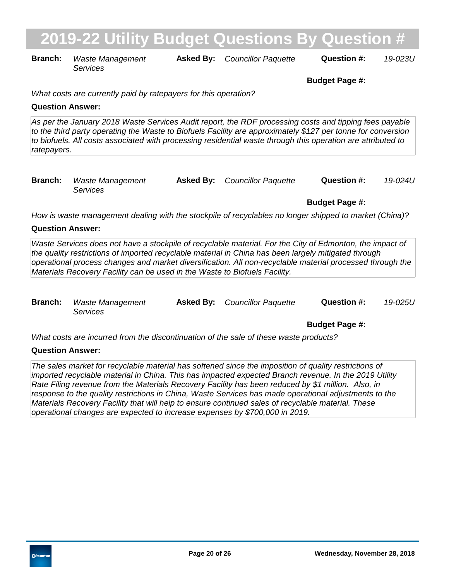**Branch:** Waste Management **Asked By:** Councillor Paquette **Question #:** 19-023U *Services*

**Budget Page #:**

*What costs are currently paid by ratepayers for this operation?*

### **Question Answer:**

*As per the January 2018 Waste Services Audit report, the RDF processing costs and tipping fees payable to the third party operating the Waste to Biofuels Facility are approximately \$127 per tonne for conversion to biofuels. All costs associated with processing residential waste through this operation are attributed to ratepayers.*

| <b>Branch:</b> Waste Management | <b>Asked By:</b> Councillor Paquette | Question #: | 19-024U |
|---------------------------------|--------------------------------------|-------------|---------|
| Services                        |                                      |             |         |

**Budget Page #:**

*How is waste management dealing with the stockpile of recyclables no longer shipped to market (China)?*

### **Question Answer:**

Waste Services does not have a stockpile of recyclable material. For the City of Edmonton, the impact of *the quality restrictions of imported recyclable material in China has been largely mitigated through operational process changes and market diversification. All non-recyclable material processed through the Materials Recovery Facility can be used in the Waste to Biofuels Facility.*

| <b>Branch:</b> Waste Management | <b>Asked By:</b> Councillor Paquette | Question #: | 19-025U |
|---------------------------------|--------------------------------------|-------------|---------|
| <i>Services</i>                 |                                      |             |         |

**Budget Page #:**

*What costs are incurred from the discontinuation of the sale of these waste products?*

## **Question Answer:**

*The sales market for recyclable material has softened since the imposition of quality restrictions of imported recyclable material in China. This has impacted expected Branch revenue. In the 2019 Utility Rate Filing revenue from the Materials Recovery Facility has been reduced by \$1 million. Also, in response to the quality restrictions in China, Waste Services has made operational adjustments to the Materials Recovery Facility that will help to ensure continued sales of recyclable material. These operational changes are expected to increase expenses by \$700,000 in 2019.*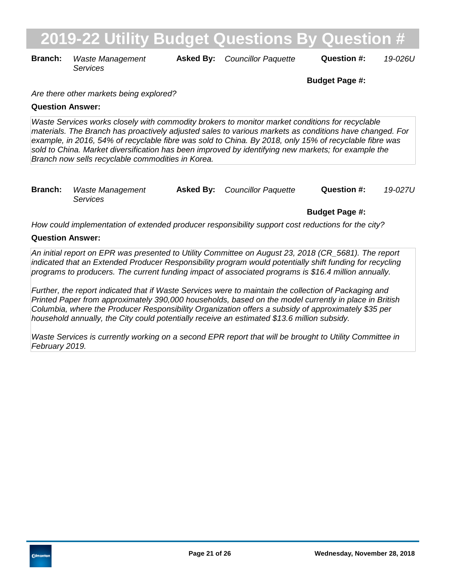**Branch:** Waste Management **Asked By:** Councillor Paquette **Question #:** 19-026U *Services*

**Budget Page #:**

*Are there other markets being explored?*

### **Question Answer:**

*Waste Services works closely with commodity brokers to monitor market conditions for recyclable materials. The Branch has proactively adjusted sales to various markets as conditions have changed. For example, in 2016, 54% of recyclable fibre was sold to China. By 2018, only 15% of recyclable fibre was sold to China. Market diversification has been improved by identifying new markets; for example the Branch now sells recyclable commodities in Korea.*

| <b>Branch:</b> Waste Management | <b>Asked By:</b> Councillor Paquette | <b>Question #:</b> | 19-027U |
|---------------------------------|--------------------------------------|--------------------|---------|
| <i>Services</i>                 |                                      |                    |         |

## **Budget Page #:**

*How could implementation of extended producer responsibility support cost reductions for the city?*

### **Question Answer:**

*An initial report on EPR was presented to Utility Committee on August 23, 2018 (CR\_5681). The report indicated that an Extended Producer Responsibility program would potentially shift funding for recycling programs to producers. The current funding impact of associated programs is \$16.4 million annually.* 

*Further, the report indicated that if Waste Services were to maintain the collection of Packaging and Printed Paper from approximately 390,000 households, based on the model currently in place in British Columbia, where the Producer Responsibility Organization offers a subsidy of approximately \$35 per household annually, the City could potentially receive an estimated \$13.6 million subsidy.* 

*Waste Services is currently working on a second EPR report that will be brought to Utility Committee in February 2019.*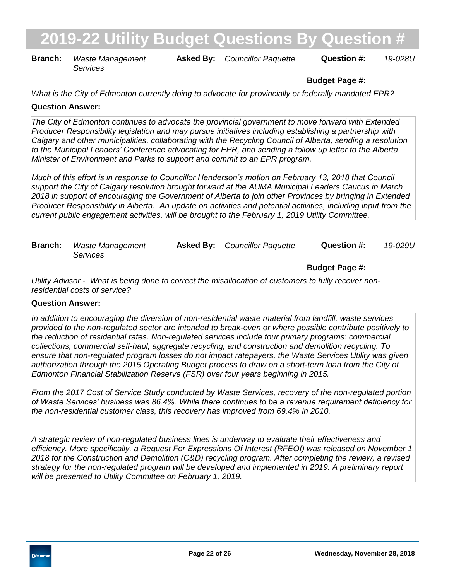**Branch:** Waste Management **Asked By:** Councillor Paquette **Question #:** 19-028U *Services*

# **Budget Page #:**

*What is the City of Edmonton currently doing to advocate for provincially or federally mandated EPR?*

### **Question Answer:**

*The City of Edmonton continues to advocate the provincial government to move forward with Extended Producer Responsibility legislation and may pursue initiatives including establishing a partnership with Calgary and other municipalities, collaborating with the Recycling Council of Alberta, sending a resolution to the Municipal Leaders' Conference advocating for EPR, and sending a follow up letter to the Alberta Minister of Environment and Parks to support and commit to an EPR program.* 

*Much of this effort is in response to Councillor Henderson's motion on February 13, 2018 that Council support the City of Calgary resolution brought forward at the AUMA Municipal Leaders Caucus in March 2018 in support of encouraging the Government of Alberta to join other Provinces by bringing in Extended Producer Responsibility in Alberta. An update on activities and potential activities, including input from the current public engagement activities, will be brought to the February 1, 2019 Utility Committee.*

| <b>Branch:</b> Waste Management | <b>Asked By:</b> Councillor Paquette | Question #: | 19-029U |
|---------------------------------|--------------------------------------|-------------|---------|
| Services                        |                                      |             |         |

**Budget Page #:**

*Utility Advisor - What is being done to correct the misallocation of customers to fully recover nonresidential costs of service?*

### **Question Answer:**

*In addition to encouraging the diversion of non-residential waste material from landfill, waste services provided to the non-regulated sector are intended to break-even or where possible contribute positively to the reduction of residential rates. Non-regulated services include four primary programs: commercial collections, commercial self-haul, aggregate recycling, and construction and demolition recycling. To ensure that non-regulated program losses do not impact ratepayers, the Waste Services Utility was given authorization through the 2015 Operating Budget process to draw on a short-term loan from the City of Edmonton Financial Stabilization Reserve (FSR) over four years beginning in 2015.*

*From the 2017 Cost of Service Study conducted by Waste Services, recovery of the non-regulated portion of Waste Services' business was 86.4%. While there continues to be a revenue requirement deficiency for the non-residential customer class, this recovery has improved from 69.4% in 2010.*

*A strategic review of non-regulated business lines is underway to evaluate their effectiveness and efficiency. More specifically, a Request For Expressions Of Interest (RFEOI) was released on November 1, 2018 for the Construction and Demolition (C&D) recycling program. After completing the review, a revised strategy for the non-regulated program will be developed and implemented in 2019. A preliminary report will be presented to Utility Committee on February 1, 2019.*

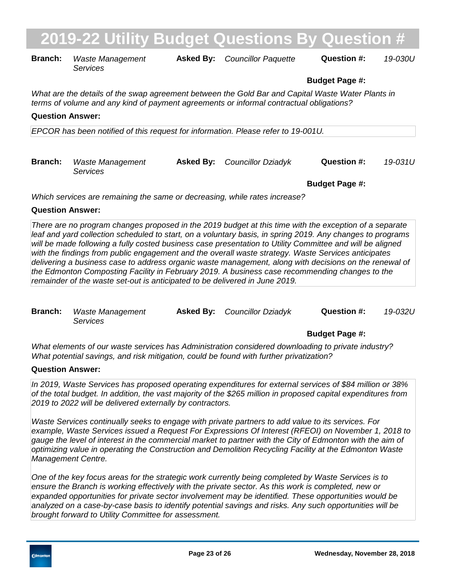| <b>Branch:</b>                                                                                                                                                                               | <b>Waste Management</b><br>Services | <b>Asked By:</b> | <b>Councillor Paquette</b> | Question #:           | 19-030U |  |  |
|----------------------------------------------------------------------------------------------------------------------------------------------------------------------------------------------|-------------------------------------|------------------|----------------------------|-----------------------|---------|--|--|
|                                                                                                                                                                                              |                                     |                  |                            | <b>Budget Page #:</b> |         |  |  |
| What are the details of the swap agreement between the Gold Bar and Capital Waste Water Plants in<br>terms of volume and any kind of payment agreements or informal contractual obligations? |                                     |                  |                            |                       |         |  |  |
| <b>Question Answer:</b>                                                                                                                                                                      |                                     |                  |                            |                       |         |  |  |
| EPCOR has been notified of this request for information. Please refer to 19-001U.                                                                                                            |                                     |                  |                            |                       |         |  |  |
|                                                                                                                                                                                              |                                     |                  |                            |                       |         |  |  |
| <b>Branch:</b>                                                                                                                                                                               | <b>Waste Management</b><br>Services | <b>Asked By:</b> | Councillor Dziadyk         | Question #:           | 19-031U |  |  |
|                                                                                                                                                                                              |                                     |                  |                            | <b>Budget Page #:</b> |         |  |  |
| Which services are remaining the same or decreasing, while rates increase?                                                                                                                   |                                     |                  |                            |                       |         |  |  |

### **Question Answer:**

*There are no program changes proposed in the 2019 budget at this time with the exception of a separate leaf and yard collection scheduled to start, on a voluntary basis, in spring 2019. Any changes to programs*  will be made following a fully costed business case presentation to Utility Committee and will be aligned *with the findings from public engagement and the overall waste strategy. Waste Services anticipates delivering a business case to address organic waste management, along with decisions on the renewal of the Edmonton Composting Facility in February 2019. A business case recommending changes to the remainder of the waste set-out is anticipated to be delivered in June 2019.*

| <b>Branch:</b> Waste Management | <b>Asked By:</b> Councillor Dziadyk | Question #: | 19-032U |
|---------------------------------|-------------------------------------|-------------|---------|
| Services                        |                                     |             |         |

## **Budget Page #:**

*What elements of our waste services has Administration considered downloading to private industry? What potential savings, and risk mitigation, could be found with further privatization?*

### **Question Answer:**

*In 2019, Waste Services has proposed operating expenditures for external services of \$84 million or 38% of the total budget. In addition, the vast majority of the \$265 million in proposed capital expenditures from 2019 to 2022 will be delivered externally by contractors.* 

*Waste Services continually seeks to engage with private partners to add value to its services. For example, Waste Services issued a Request For Expressions Of Interest (RFEOI) on November 1, 2018 to gauge the level of interest in the commercial market to partner with the City of Edmonton with the aim of optimizing value in operating the Construction and Demolition Recycling Facility at the Edmonton Waste Management Centre.* 

*One of the key focus areas for the strategic work currently being completed by Waste Services is to*  ensure the Branch is working effectively with the private sector. As this work is completed, new or *expanded opportunities for private sector involvement may be identified. These opportunities would be analyzed on a case-by-case basis to identify potential savings and risks. Any such opportunities will be brought forward to Utility Committee for assessment.*

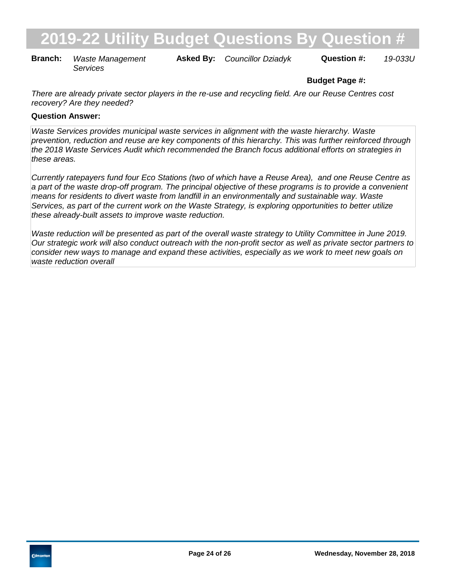**Branch:** Waste Management **Asked By:** Councillor Dziadyk **Question #:** 19-033U *Services*

# **Budget Page #:**

*There are already private sector players in the re-use and recycling field. Are our Reuse Centres cost recovery? Are they needed?*

### **Question Answer:**

*Waste Services provides municipal waste services in alignment with the waste hierarchy. Waste prevention, reduction and reuse are key components of this hierarchy. This was further reinforced through the 2018 Waste Services Audit which recommended the Branch focus additional efforts on strategies in these areas.*

*Currently ratepayers fund four Eco Stations (two of which have a Reuse Area), and one Reuse Centre as a part of the waste drop-off program. The principal objective of these programs is to provide a convenient means for residents to divert waste from landfill in an environmentally and sustainable way. Waste Services, as part of the current work on the Waste Strategy, is exploring opportunities to better utilize these already-built assets to improve waste reduction.* 

*Waste reduction will be presented as part of the overall waste strategy to Utility Committee in June 2019. Our strategic work will also conduct outreach with the non-profit sector as well as private sector partners to consider new ways to manage and expand these activities, especially as we work to meet new goals on waste reduction overall*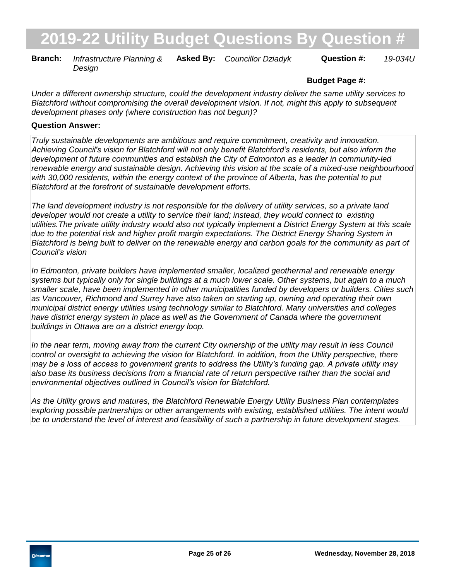**Branch:** Infrastructure Planning & Asked By: Councillor Dziadyk Question #: 19-034U *Design*

# **Budget Page #:**

*Under a different ownership structure, could the development industry deliver the same utility services to Blatchford without compromising the overall development vision. If not, might this apply to subsequent development phases only (where construction has not begun)?*

### **Question Answer:**

*Truly sustainable developments are ambitious and require commitment, creativity and innovation. Achieving Council's vision for Blatchford will not only benefit Blatchford's residents, but also inform the development of future communities and establish the City of Edmonton as a leader in community-led renewable energy and sustainable design. Achieving this vision at the scale of a mixed-use neighbourhood with 30,000 residents, within the energy context of the province of Alberta, has the potential to put Blatchford at the forefront of sustainable development efforts.*

*The land development industry is not responsible for the delivery of utility services, so a private land developer would not create a utility to service their land; instead, they would connect to existing utilities.The private utility industry would also not typically implement a District Energy System at this scale due to the potential risk and higher profit margin expectations. The District Energy Sharing System in Blatchford is being built to deliver on the renewable energy and carbon goals for the community as part of Council's vision*

*In Edmonton, private builders have implemented smaller, localized geothermal and renewable energy systems but typically only for single buildings at a much lower scale. Other systems, but again to a much smaller scale, have been implemented in other municipalities funded by developers or builders. Cities such as Vancouver, Richmond and Surrey have also taken on starting up, owning and operating their own municipal district energy utilities using technology similar to Blatchford. Many universities and colleges have district energy system in place as well as the Government of Canada where the government buildings in Ottawa are on a district energy loop.* 

In the near term, moving away from the current City ownership of the utility may result in less Council *control or oversight to achieving the vision for Blatchford. In addition, from the Utility perspective, there may be a loss of access to government grants to address the Utility's funding gap. A private utility may also base its business decisions from a financial rate of return perspective rather than the social and environmental objectives outlined in Council's vision for Blatchford.* 

*As the Utility grows and matures, the Blatchford Renewable Energy Utility Business Plan contemplates exploring possible partnerships or other arrangements with existing, established utilities. The intent would be to understand the level of interest and feasibility of such a partnership in future development stages.*